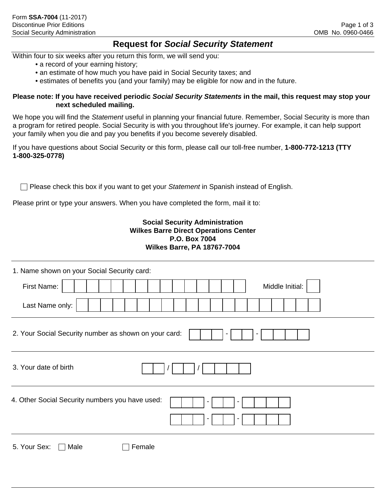## **Request for** *Social Security Statement*

Within four to six weeks after you return this form, we will send you:

- a record of your earning history;
- an estimate of how much you have paid in Social Security taxes; and
- estimates of benefits you (and your family) may be eligible for now and in the future.

## **Please note: If you have received periodic** *Social Security Statements* **in the mail, this request may stop your next scheduled mailing.**

We hope you will find the *Statement* useful in planning your financial future. Remember, Social Security is more than a program for retired people. Social Security is with you throughout life's journey. For example, it can help support your family when you die and pay you benefits if you become severely disabled.

If you have questions about Social Security or this form, please call our toll-free number, **1-800-772-1213 (TTY 1-800-325-0778)**

**Please check this box if you want to get your Statement in Spanish instead of English.** 

Please print or type your answers. When you have completed the form, mail it to:

## **Social Security Administration Wilkes Barre Direct Operations Center P.O. Box 7004 Wilkes Barre, PA 18767-7004**

| 1. Name shown on your Social Security card:           |        |                 |  |  |
|-------------------------------------------------------|--------|-----------------|--|--|
| First Name:                                           |        | Middle Initial: |  |  |
| Last Name only:                                       |        |                 |  |  |
| 2. Your Social Security number as shown on your card: |        |                 |  |  |
| 3. Your date of birth                                 |        |                 |  |  |
| 4. Other Social Security numbers you have used:       |        |                 |  |  |
| 5. Your Sex:<br>Male                                  | Female |                 |  |  |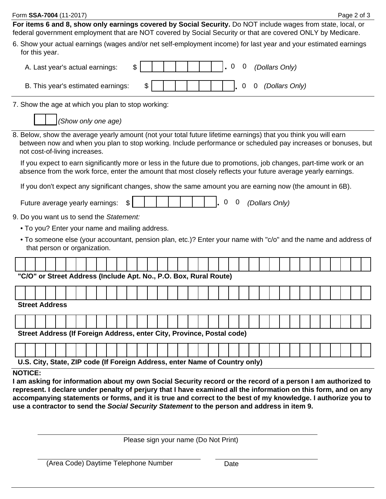| Form SSA-7004 (11-2017)<br>Page 2 of 3                                                                                                                                                                                                                            |  |  |  |  |  |  |  |
|-------------------------------------------------------------------------------------------------------------------------------------------------------------------------------------------------------------------------------------------------------------------|--|--|--|--|--|--|--|
| For items 6 and 8, show only earnings covered by Social Security. Do NOT include wages from state, local, or<br>federal government employment that are NOT covered by Social Security or that are covered ONLY by Medicare.                                       |  |  |  |  |  |  |  |
| 6. Show your actual earnings (wages and/or net self-employment income) for last year and your estimated earnings<br>for this year.                                                                                                                                |  |  |  |  |  |  |  |
| $\overline{0}$<br>0<br>(Dollars Only)<br>A. Last year's actual earnings:<br>\$                                                                                                                                                                                    |  |  |  |  |  |  |  |
| (Dollars Only)<br>B. This year's estimated earnings:<br>\$<br>0<br>$\mathbf 0$                                                                                                                                                                                    |  |  |  |  |  |  |  |
| 7. Show the age at which you plan to stop working:                                                                                                                                                                                                                |  |  |  |  |  |  |  |
| (Show only one age)                                                                                                                                                                                                                                               |  |  |  |  |  |  |  |
| 8. Below, show the average yearly amount (not your total future lifetime earnings) that you think you will earn<br>between now and when you plan to stop working. Include performance or scheduled pay increases or bonuses, but<br>not cost-of-living increases. |  |  |  |  |  |  |  |
| If you expect to earn significantly more or less in the future due to promotions, job changes, part-time work or an<br>absence from the work force, enter the amount that most closely reflects your future average yearly earnings.                              |  |  |  |  |  |  |  |
| If you don't expect any significant changes, show the same amount you are earning now (the amount in 6B).                                                                                                                                                         |  |  |  |  |  |  |  |
| 0<br>$\mathbf 0$<br>(Dollars Only)<br>Future average yearly earnings:<br>\$                                                                                                                                                                                       |  |  |  |  |  |  |  |
| 9. Do you want us to send the Statement:                                                                                                                                                                                                                          |  |  |  |  |  |  |  |
| • To you? Enter your name and mailing address.                                                                                                                                                                                                                    |  |  |  |  |  |  |  |
| • To someone else (your accountant, pension plan, etc.)? Enter your name with "c/o" and the name and address of<br>that person or organization.                                                                                                                   |  |  |  |  |  |  |  |
|                                                                                                                                                                                                                                                                   |  |  |  |  |  |  |  |
| "C/O" or Street Address (Include Apt. No., P.O. Box, Rural Route)                                                                                                                                                                                                 |  |  |  |  |  |  |  |
|                                                                                                                                                                                                                                                                   |  |  |  |  |  |  |  |
| <b>Street Address</b>                                                                                                                                                                                                                                             |  |  |  |  |  |  |  |
|                                                                                                                                                                                                                                                                   |  |  |  |  |  |  |  |
|                                                                                                                                                                                                                                                                   |  |  |  |  |  |  |  |
| Street Address (If Foreign Address, enter City, Province, Postal code)                                                                                                                                                                                            |  |  |  |  |  |  |  |
|                                                                                                                                                                                                                                                                   |  |  |  |  |  |  |  |
| U.S. City, State, ZIP code (If Foreign Address, enter Name of Country only)                                                                                                                                                                                       |  |  |  |  |  |  |  |
| <b>NOTICE:</b><br>I am asking for information about my own Social Security record or the record of a person I am authorized to                                                                                                                                    |  |  |  |  |  |  |  |
| represent. I declare under penalty of perjury that I have examined all the information on this form, and on any                                                                                                                                                   |  |  |  |  |  |  |  |
| accompanying statements or forms, and it is true and correct to the best of my knowledge. I authorize you to<br>use a contractor to send the Social Security Statement to the person and address in item 9.                                                       |  |  |  |  |  |  |  |
|                                                                                                                                                                                                                                                                   |  |  |  |  |  |  |  |

| Please sign your name (Do Not Print) |  |  |  |
|--------------------------------------|--|--|--|
|--------------------------------------|--|--|--|